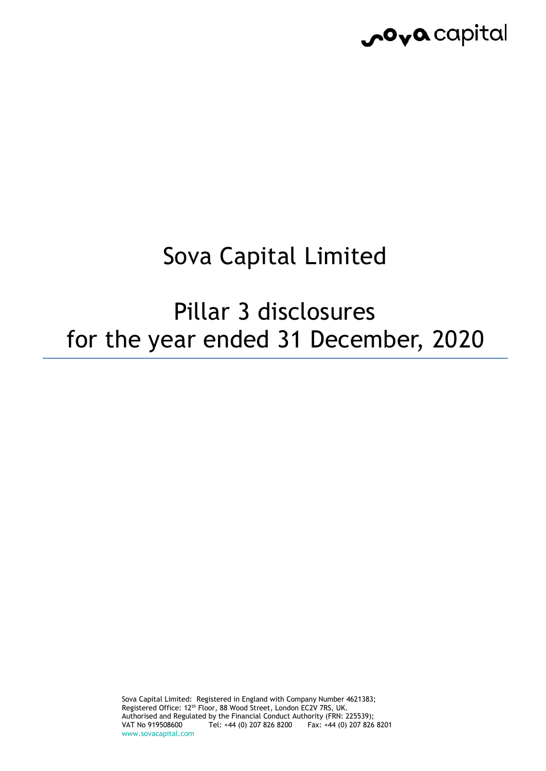

# Sova Capital Limited

Pillar 3 disclosures for the year ended 31 December, 2020

> Sova Capital Limited: Registered in England with Company Number 4621383; Registered Office: 12<sup>th</sup> Floor, 88 Wood Street, London EC2V 7RS, UK. Authorised and Regulated by the Financial Conduct Authority (FRN: 225539);<br>VAT No 919508600 Tel: +44 (0) 207 826 8200 Fax: +44 (0) 207 826 Fax: +44 (0) 207 826 8201 www.sovacapital.com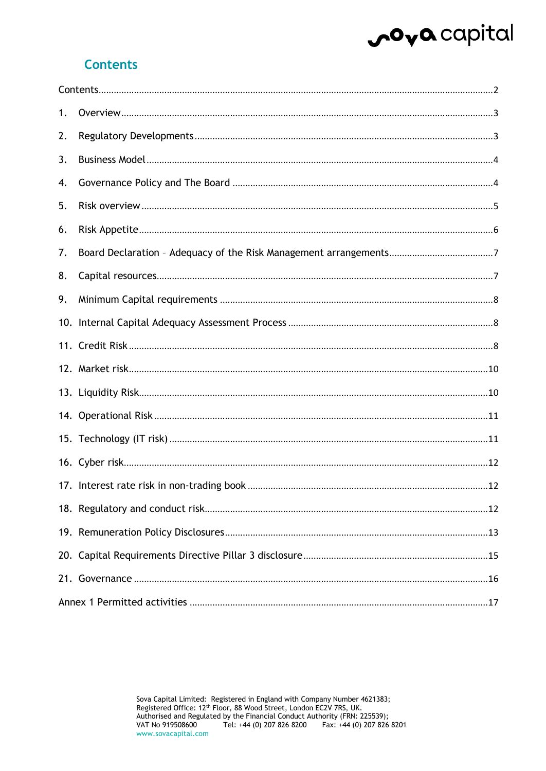# ova capital

### <span id="page-1-0"></span>**Contents**

| 1. |  |
|----|--|
| 2. |  |
| 3. |  |
| 4. |  |
| 5. |  |
| 6. |  |
| 7. |  |
| 8. |  |
| 9. |  |
|    |  |
|    |  |
|    |  |
|    |  |
|    |  |
|    |  |
|    |  |
|    |  |
|    |  |
|    |  |
|    |  |
|    |  |
|    |  |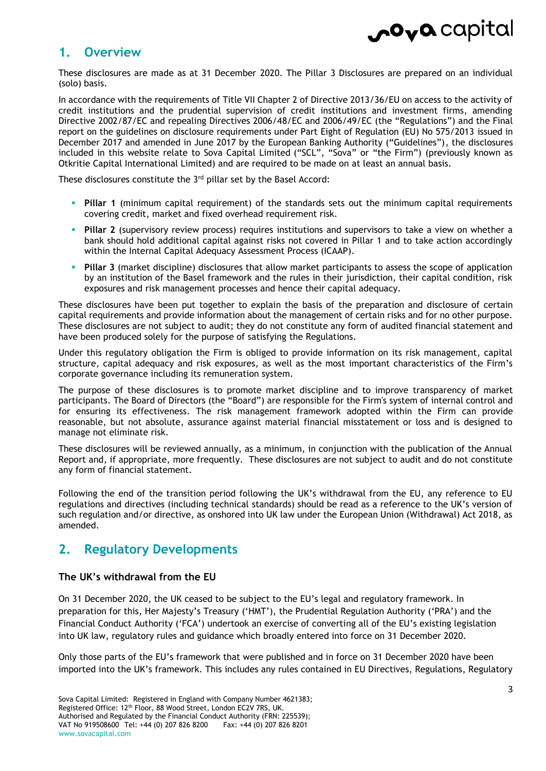### <span id="page-2-0"></span>**1. Overview**

These disclosures are made as at 31 December 2020. The Pillar 3 Disclosures are prepared on an individual (solo) basis.

In accordance with the requirements of Title VII Chapter 2 of Directive 2013/36/EU on access to the activity of credit institutions and the prudential supervision of credit institutions and investment firms, amending Directive 2002/87/EC and repealing Directives 2006/48/EC and 2006/49/EC (the "Regulations") and the Final report on the guidelines on disclosure requirements under Part Eight of Regulation (EU) No 575/2013 issued in December 2017 and amended in June 2017 by the European Banking Authority ("Guidelines"), the disclosures included in this website relate to Sova Capital Limited ("SCL", "Sova" or "the Firm") (previously known as Otkritie Capital International Limited) and are required to be made on at least an annual basis.

These disclosures constitute the  $3<sup>rd</sup>$  pillar set by the Basel Accord:

- **Pillar 1** (minimum capital requirement) of the standards sets out the minimum capital requirements covering credit, market and fixed overhead requirement risk.
- **Pillar 2** (supervisory review process) requires institutions and supervisors to take a view on whether a bank should hold additional capital against risks not covered in Pillar 1 and to take action accordingly within the Internal Capital Adequacy Assessment Process (ICAAP).
- **Pillar 3** (market discipline) disclosures that allow market participants to assess the scope of application by an institution of the Basel framework and the rules in their jurisdiction, their capital condition, risk exposures and risk management processes and hence their capital adequacy.

These disclosures have been put together to explain the basis of the preparation and disclosure of certain capital requirements and provide information about the management of certain risks and for no other purpose. These disclosures are not subject to audit; they do not constitute any form of audited financial statement and have been produced solely for the purpose of satisfying the Regulations.

Under this regulatory obligation the Firm is obliged to provide information on its risk management, capital structure, capital adequacy and risk exposures, as well as the most important characteristics of the Firm's corporate governance including its remuneration system.

The purpose of these disclosures is to promote market discipline and to improve transparency of market participants. The Board of Directors (the "Board") are responsible for the Firm's system of internal control and for ensuring its effectiveness. The risk management framework adopted within the Firm can provide reasonable, but not absolute, assurance against material financial misstatement or loss and is designed to manage not eliminate risk.

These disclosures will be reviewed annually, as a minimum, in conjunction with the publication of the Annual Report and, if appropriate, more frequently. These disclosures are not subject to audit and do not constitute any form of financial statement.

Following the end of the transition period following the UK's withdrawal from the EU, any reference to EU regulations and directives (including technical standards) should be read as a reference to the UK's version of such regulation and/or directive, as onshored into UK law under the European Union (Withdrawal) Act 2018, as amended.

### <span id="page-2-1"></span>**2. Regulatory Developments**

#### **The UK's withdrawal from the EU**

On 31 December 2020, the UK ceased to be subject to the EU's legal and regulatory framework. In preparation for this, Her Majesty's Treasury ('HMT'), the Prudential Regulation Authority ('PRA') and the Financial Conduct Authority ('FCA') undertook an exercise of converting all of the EU's existing legislation into UK law, regulatory rules and guidance which broadly entered into force on 31 December 2020.

Only those parts of the EU's framework that were published and in force on 31 December 2020 have been imported into the UK's framework. This includes any rules contained in EU Directives, Regulations, Regulatory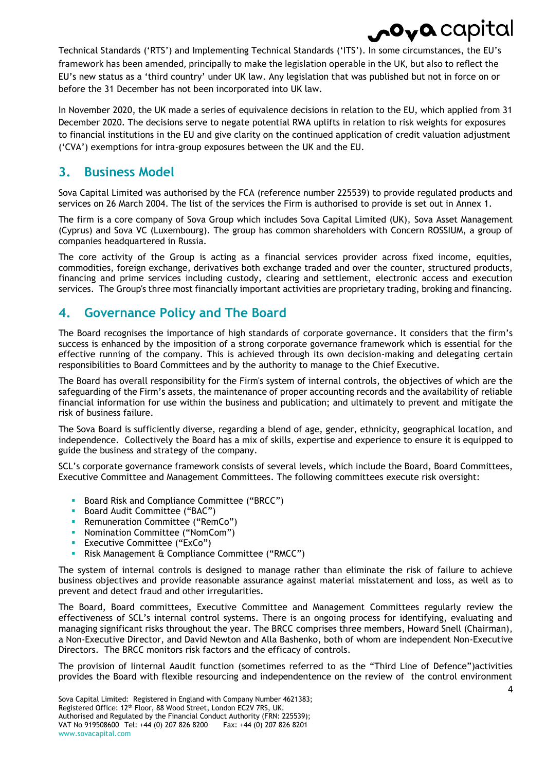Technical Standards ('RTS') and Implementing Technical Standards ('ITS'). In some circumstances, the EU's framework has been amended, principally to make the legislation operable in the UK, but also to reflect the EU's new status as a 'third country' under UK law. Any legislation that was published but not in force on or before the 31 December has not been incorporated into UK law.

In November 2020, the UK made a series of equivalence decisions in relation to the EU, which applied from 31 December 2020. The decisions serve to negate potential RWA uplifts in relation to risk weights for exposures to financial institutions in the EU and give clarity on the continued application of credit valuation adjustment ('CVA') exemptions for intra-group exposures between the UK and the EU.

### <span id="page-3-0"></span>**3. Business Model**

Sova Capital Limited was authorised by the FCA (reference number 225539) to provide regulated products and services on 26 March 2004. The list of the services the Firm is authorised to provide is set out in Annex 1.

The firm is a core company of Sova Group which includes Sova Capital Limited (UK), Sova Asset Management (Cyprus) and Sova VC (Luxembourg). The group has common shareholders with Concern ROSSIUM, a group of companies headquartered in Russia.

The core activity of the Group is acting as a financial services provider across fixed income, equities, commodities, foreign exchange, derivatives both exchange traded and over the counter, structured products, financing and prime services including custody, clearing and settlement, electronic access and execution services. The Group's three most financially important activities are proprietary trading, broking and financing.

### <span id="page-3-1"></span>**4. Governance Policy and The Board**

The Board recognises the importance of high standards of corporate governance. It considers that the firm's success is enhanced by the imposition of a strong corporate governance framework which is essential for the effective running of the company. This is achieved through its own decision-making and delegating certain responsibilities to Board Committees and by the authority to manage to the Chief Executive.

The Board has overall responsibility for the Firm's system of internal controls, the objectives of which are the safeguarding of the Firm's assets, the maintenance of proper accounting records and the availability of reliable financial information for use within the business and publication; and ultimately to prevent and mitigate the risk of business failure.

The Sova Board is sufficiently diverse, regarding a blend of age, gender, ethnicity, geographical location, and independence. Collectively the Board has a mix of skills, expertise and experience to ensure it is equipped to guide the business and strategy of the company.

SCL's corporate governance framework consists of several levels, which include the Board, Board Committees, Executive Committee and Management Committees. The following committees execute risk oversight:

- **Board Risk and Compliance Committee ("BRCC")**
- **Board Audit Committee ("BAC")**
- **Remuneration Committee ("RemCo")**
- **-** Nomination Committee ("NomCom")
- **EXECUTEL COMMITTEE ("EXCO")**
- Risk Management & Compliance Committee ("RMCC")

The system of internal controls is designed to manage rather than eliminate the risk of failure to achieve business objectives and provide reasonable assurance against material misstatement and loss, as well as to prevent and detect fraud and other irregularities.

The Board, Board committees, Executive Committee and Management Committees regularly review the effectiveness of SCL's internal control systems. There is an ongoing process for identifying, evaluating and managing significant risks throughout the year. The BRCC comprises three members, Howard Snell (Chairman), a Non-Executive Director, and David Newton and Alla Bashenko, both of whom are independent Non-Executive Directors. The BRCC monitors risk factors and the efficacy of controls.

The provision of Iinternal Aaudit function (sometimes referred to as the "Third Line of Defence")activities provides the Board with flexible resourcing and independentence on the review of the control environment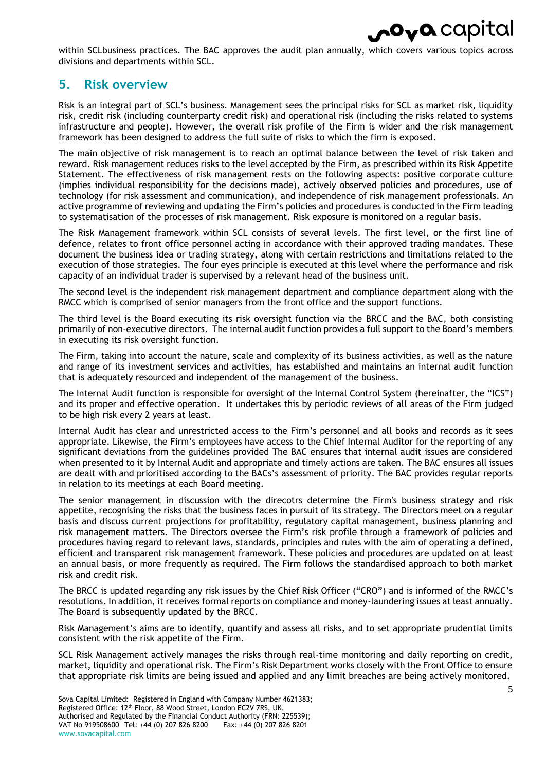

within SCLbusiness practices. The BAC approves the audit plan annually, which covers various topics across divisions and departments within SCL.

### <span id="page-4-0"></span>**5. Risk overview**

Risk is an integral part of SCL's business. Management sees the principal risks for SCL as market risk, liquidity risk, credit risk (including counterparty credit risk) and operational risk (including the risks related to systems infrastructure and people). However, the overall risk profile of the Firm is wider and the risk management framework has been designed to address the full suite of risks to which the firm is exposed.

The main objective of risk management is to reach an optimal balance between the level of risk taken and reward. Risk management reduces risks to the level accepted by the Firm, as prescribed within its Risk Appetite Statement. The effectiveness of risk management rests on the following aspects: positive corporate culture (implies individual responsibility for the decisions made), actively observed policies and procedures, use of technology (for risk assessment and communication), and independence of risk management professionals. An active programme of reviewing and updating the Firm's policies and procedures is conducted in the Firm leading to systematisation of the processes of risk management. Risk exposure is monitored on a regular basis.

The Risk Management framework within SCL consists of several levels. The first level, or the first line of defence, relates to front office personnel acting in accordance with their approved trading mandates. These document the business idea or trading strategy, along with certain restrictions and limitations related to the execution of those strategies. The four eyes principle is executed at this level where the performance and risk capacity of an individual trader is supervised by a relevant head of the business unit.

The second level is the independent risk management department and compliance department along with the RMCC which is comprised of senior managers from the front office and the support functions.

The third level is the Board executing its risk oversight function via the BRCC and the BAC, both consisting primarily of non-executive directors. The internal audit function provides a full support to the Board's members in executing its risk oversight function.

The Firm, taking into account the nature, scale and complexity of its business activities, as well as the nature and range of its investment services and activities, has established and maintains an internal audit function that is adequately resourced and independent of the management of the business.

The Internal Audit function is responsible for oversight of the Internal Control System (hereinafter, the "ICS") and its proper and effective operation. It undertakes this by periodic reviews of all areas of the Firm judged to be high risk every 2 years at least.

Internal Audit has clear and unrestricted access to the Firm's personnel and all books and records as it sees appropriate. Likewise, the Firm's employees have access to the Chief Internal Auditor for the reporting of any significant deviations from the guidelines provided The BAC ensures that internal audit issues are considered when presented to it by Internal Audit and appropriate and timely actions are taken. The BAC ensures all issues are dealt with and prioritised according to the BACs's assessment of priority. The BAC provides regular reports in relation to its meetings at each Board meeting.

The senior management in discussion with the direcotrs determine the Firm's business strategy and risk appetite, recognising the risks that the business faces in pursuit of its strategy. The Directors meet on a regular basis and discuss current projections for profitability, regulatory capital management, business planning and risk management matters. The Directors oversee the Firm's risk profile through a framework of policies and procedures having regard to relevant laws, standards, principles and rules with the aim of operating a defined, efficient and transparent risk management framework. These policies and procedures are updated on at least an annual basis, or more frequently as required. The Firm follows the standardised approach to both market risk and credit risk.

The BRCC is updated regarding any risk issues by the Chief Risk Officer ("CRO") and is informed of the RMCC's resolutions. In addition, it receives formal reports on compliance and money-laundering issues at least annually. The Board is subsequently updated by the BRCC.

Risk Management's aims are to identify, quantify and assess all risks, and to set appropriate prudential limits consistent with the risk appetite of the Firm.

SCL Risk Management actively manages the risks through real-time monitoring and daily reporting on credit, market, liquidity and operational risk. The Firm's Risk Department works closely with the Front Office to ensure that appropriate risk limits are being issued and applied and any limit breaches are being actively monitored.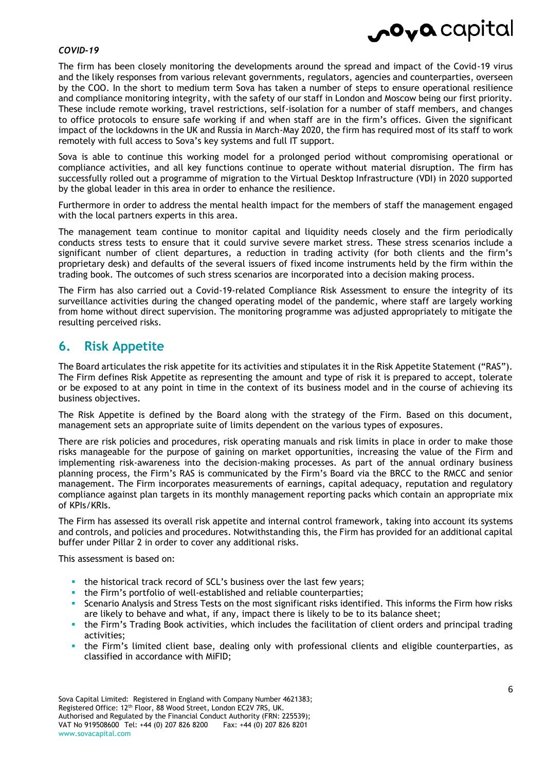#### *COVID-19*

The firm has been closely monitoring the developments around the spread and impact of the Covid-19 virus and the likely responses from various relevant governments, regulators, agencies and counterparties, overseen by the COO. In the short to medium term Sova has taken a number of steps to ensure operational resilience and compliance monitoring integrity, with the safety of our staff in London and Moscow being our first priority. These include remote working, travel restrictions, self-isolation for a number of staff members, and changes to office protocols to ensure safe working if and when staff are in the firm's offices. Given the significant impact of the lockdowns in the UK and Russia in March-May 2020, the firm has required most of its staff to work remotely with full access to Sova's key systems and full IT support.

Sova is able to continue this working model for a prolonged period without compromising operational or compliance activities, and all key functions continue to operate without material disruption. The firm has successfully rolled out a programme of migration to the Virtual Desktop Infrastructure (VDI) in 2020 supported by the global leader in this area in order to enhance the resilience.

Furthermore in order to address the mental health impact for the members of staff the management engaged with the local partners experts in this area.

The management team continue to monitor capital and liquidity needs closely and the firm periodically conducts stress tests to ensure that it could survive severe market stress. These stress scenarios include a significant number of client departures, a reduction in trading activity (for both clients and the firm's proprietary desk) and defaults of the several issuers of fixed income instruments held by the firm within the trading book. The outcomes of such stress scenarios are incorporated into a decision making process.

The Firm has also carried out a Covid-19-related Compliance Risk Assessment to ensure the integrity of its surveillance activities during the changed operating model of the pandemic, where staff are largely working from home without direct supervision. The monitoring programme was adjusted appropriately to mitigate the resulting perceived risks.

#### <span id="page-5-0"></span>**6. Risk Appetite**

The Board articulates the risk appetite for its activities and stipulates it in the Risk Appetite Statement ("RAS"). The Firm defines Risk Appetite as representing the amount and type of risk it is prepared to accept, tolerate or be exposed to at any point in time in the context of its business model and in the course of achieving its business objectives.

The Risk Appetite is defined by the Board along with the strategy of the Firm. Based on this document, management sets an appropriate suite of limits dependent on the various types of exposures.

There are risk policies and procedures, risk operating manuals and risk limits in place in order to make those risks manageable for the purpose of gaining on market opportunities, increasing the value of the Firm and implementing risk-awareness into the decision-making processes. As part of the annual ordinary business planning process, the Firm's RAS is communicated by the Firm's Board via the BRCC to the RMCC and senior management. The Firm incorporates measurements of earnings, capital adequacy, reputation and regulatory compliance against plan targets in its monthly management reporting packs which contain an appropriate mix of KPIs/KRIs.

The Firm has assessed its overall risk appetite and internal control framework, taking into account its systems and controls, and policies and procedures. Notwithstanding this, the Firm has provided for an additional capital buffer under Pillar 2 in order to cover any additional risks.

This assessment is based on:

- the historical track record of SCL's business over the last few years;
- the Firm's portfolio of well-established and reliable counterparties;
- Scenario Analysis and Stress Tests on the most significant risks identified. This informs the Firm how risks are likely to behave and what, if any, impact there is likely to be to its balance sheet;
- the Firm's Trading Book activities, which includes the facilitation of client orders and principal trading activities;
- the Firm's limited client base, dealing only with professional clients and eligible counterparties, as classified in accordance with MiFID;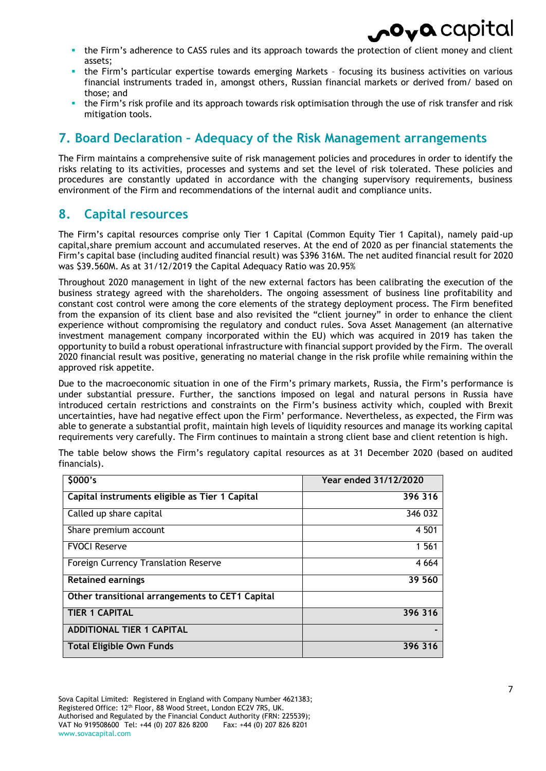- the Firm's adherence to CASS rules and its approach towards the protection of client money and client assets;
- the Firm's particular expertise towards emerging Markets focusing its business activities on various financial instruments traded in, amongst others, Russian financial markets or derived from/ based on those; and
- the Firm's risk profile and its approach towards risk optimisation through the use of risk transfer and risk mitigation tools.

### <span id="page-6-0"></span>**7. Board Declaration – Adequacy of the Risk Management arrangements**

The Firm maintains a comprehensive suite of risk management policies and procedures in order to identify the risks relating to its activities, processes and systems and set the level of risk tolerated. These policies and procedures are constantly updated in accordance with the changing supervisory requirements, business environment of the Firm and recommendations of the internal audit and compliance units.

### <span id="page-6-1"></span>**8. Capital resources**

The Firm's capital resources comprise only Tier 1 Capital (Common Equity Tier 1 Capital), namely paid-up capital,share premium account and accumulated reserves. At the end of 2020 as per financial statements the Firm's capital base (including audited financial result) was \$396 316M. The net audited financial result for 2020 was \$39.560M. As at 31/12/2019 the Capital Adequacy Ratio was 20.95%

Throughout 2020 management in light of the new external factors has been calibrating the execution of the business strategy agreed with the shareholders. The ongoing assessment of business line profitability and constant cost control were among the core elements of the strategy deployment process. The Firm benefited from the expansion of its client base and also revisited the "client journey" in order to enhance the client experience without compromising the regulatory and conduct rules. Sova Asset Management (an alternative investment management company incorporated within the EU) which was acquired in 2019 has taken the opportunity to build a robust operational infrastructure with financial support provided by the Firm. The overall 2020 financial result was positive, generating no material change in the risk profile while remaining within the approved risk appetite.

Due to the macroeconomic situation in one of the Firm's primary markets, Russia, the Firm's performance is under substantial pressure. Further, the sanctions imposed on legal and natural persons in Russia have introduced certain restrictions and constraints on the Firm's business activity which, coupled with Brexit uncertainties, have had negative effect upon the Firm' performance. Nevertheless, as expected, the Firm was able to generate a substantial profit, maintain high levels of liquidity resources and manage its working capital requirements very carefully. The Firm continues to maintain a strong client base and client retention is high.

| \$000's                                         | Year ended 31/12/2020 |
|-------------------------------------------------|-----------------------|
| Capital instruments eligible as Tier 1 Capital  | 396 316               |
| Called up share capital                         | 346 032               |
| Share premium account                           | 4 5 0 1               |
| <b>FVOCI Reserve</b>                            | 1 5 6 1               |
| Foreign Currency Translation Reserve            | 4 6 6 4               |
| <b>Retained earnings</b>                        | 39 560                |
| Other transitional arrangements to CET1 Capital |                       |
| <b>TIER 1 CAPITAL</b>                           | 396 316               |
| <b>ADDITIONAL TIER 1 CAPITAL</b>                |                       |
| Total Eligible Own Funds                        | 396 316               |

The table below shows the Firm's regulatory capital resources as at 31 December 2020 (based on audited financials).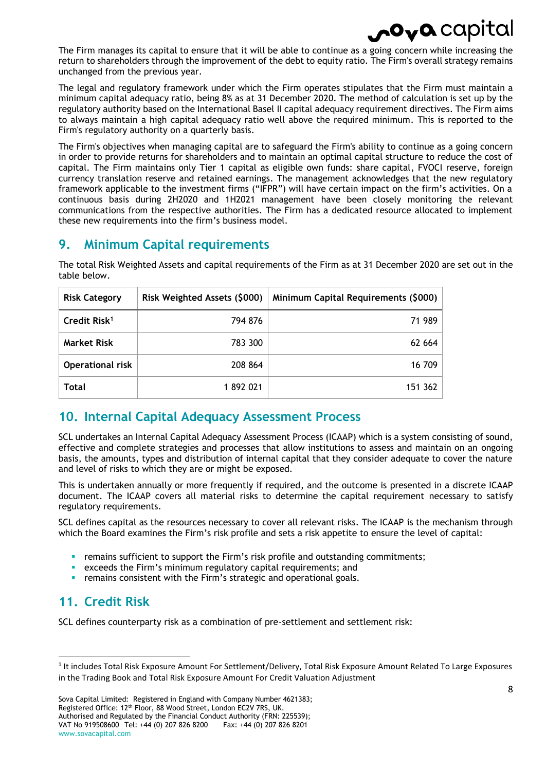# $\mathbf{o}_{\mathbf{v}}\mathbf{o}$  capi

The Firm manages its capital to ensure that it will be able to continue as a going concern while increasing the return to shareholders through the improvement of the debt to equity ratio. The Firm's overall strategy remains unchanged from the previous year.

The legal and regulatory framework under which the Firm operates stipulates that the Firm must maintain a minimum capital adequacy ratio, being 8% as at 31 December 2020. The method of calculation is set up by the regulatory authority based on the International Basel II capital adequacy requirement directives. The Firm aims to always maintain a high capital adequacy ratio well above the required minimum. This is reported to the Firm's regulatory authority on a quarterly basis.

The Firm's objectives when managing capital are to safeguard the Firm's ability to continue as a going concern in order to provide returns for shareholders and to maintain an optimal capital structure to reduce the cost of capital. The Firm maintains only Tier 1 capital as eligible own funds: share capital, FVOCI reserve, foreign currency translation reserve and retained earnings. The management acknowledges that the new regulatory framework applicable to the investment firms ("IFPR") will have certain impact on the firm's activities. On a continuous basis during 2H2020 and 1H2021 management have been closely monitoring the relevant communications from the respective authorities. The Firm has a dedicated resource allocated to implement these new requirements into the firm's business model.

### <span id="page-7-0"></span>**9. Minimum Capital requirements**

| <b>Risk Category</b>     | Risk Weighted Assets (\$000) | Minimum Capital Requirements (\$000) |
|--------------------------|------------------------------|--------------------------------------|
| Credit Risk <sup>1</sup> | 794 876                      | 71 989                               |
| <b>Market Risk</b>       | 783 300                      | 62 664                               |
| <b>Operational risk</b>  | 208 864                      | 16 709                               |
| <b>Total</b>             | 1892021                      | 151 362                              |

The total Risk Weighted Assets and capital requirements of the Firm as at 31 December 2020 are set out in the table below.

### <span id="page-7-1"></span>**10. Internal Capital Adequacy Assessment Process**

SCL undertakes an Internal Capital Adequacy Assessment Process (ICAAP) which is a system consisting of sound, effective and complete strategies and processes that allow institutions to assess and maintain on an ongoing basis, the amounts, types and distribution of internal capital that they consider adequate to cover the nature and level of risks to which they are or might be exposed.

This is undertaken annually or more frequently if required, and the outcome is presented in a discrete ICAAP document. The ICAAP covers all material risks to determine the capital requirement necessary to satisfy regulatory requirements.

SCL defines capital as the resources necessary to cover all relevant risks. The ICAAP is the mechanism through which the Board examines the Firm's risk profile and sets a risk appetite to ensure the level of capital:

- remains sufficient to support the Firm's risk profile and outstanding commitments;
- exceeds the Firm's minimum regulatory capital requirements; and
- **•** remains consistent with the Firm's strategic and operational goals.

### <span id="page-7-2"></span>**11. Credit Risk**

 $\overline{\phantom{a}}$ 

SCL defines counterparty risk as a combination of pre-settlement and settlement risk:

<sup>&</sup>lt;sup>1</sup> It includes Total Risk Exposure Amount For Settlement/Delivery, Total Risk Exposure Amount Related To Large Exposures in the Trading Book and Total Risk Exposure Amount For Credit Valuation Adjustment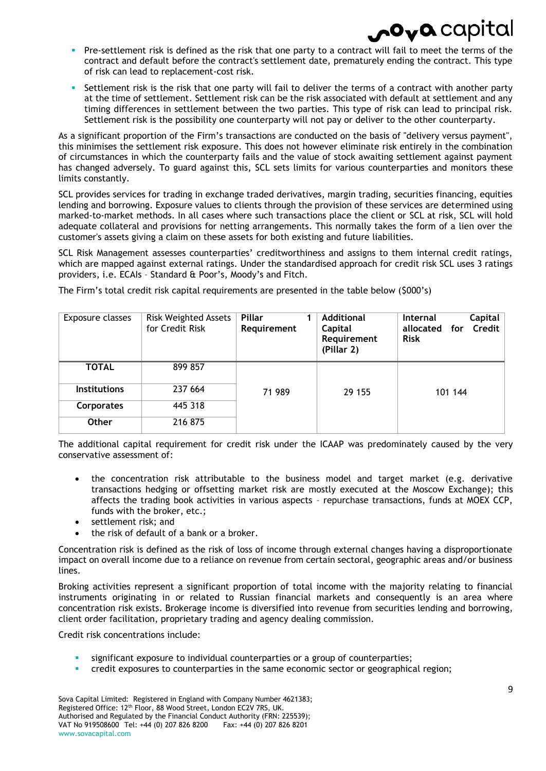- Pre-settlement risk is defined as the risk that one party to a contract will fail to meet the terms of the contract and default before the contract's settlement date, prematurely ending the contract. This type of risk can lead to replacement-cost risk.
- Settlement risk is the risk that one party will fail to deliver the terms of a contract with another party at the time of settlement. Settlement risk can be the risk associated with default at settlement and any timing differences in settlement between the two parties. This type of risk can lead to principal risk. Settlement risk is the possibility one counterparty will not pay or deliver to the other counterparty.

As a significant proportion of the Firm's transactions are conducted on the basis of "delivery versus payment", this minimises the settlement risk exposure. This does not however eliminate risk entirely in the combination of circumstances in which the counterparty fails and the value of stock awaiting settlement against payment has changed adversely. To guard against this, SCL sets limits for various counterparties and monitors these limits constantly.

SCL provides services for trading in exchange traded derivatives, margin trading, securities financing, equities lending and borrowing. Exposure values to clients through the provision of these services are determined using marked-to-market methods. In all cases where such transactions place the client or SCL at risk, SCL will hold adequate collateral and provisions for netting arrangements. This normally takes the form of a lien over the customer's assets giving a claim on these assets for both existing and future liabilities.

SCL Risk Management assesses counterparties' creditworthiness and assigns to them internal credit ratings, which are mapped against external ratings. Under the standardised approach for credit risk SCL uses 3 ratings providers, i.e. ECAIs – Standard & Poor's, Moody's and Fitch.

| Exposure classes    | <b>Risk Weighted Assets</b><br>for Credit Risk | Pillar<br>Requirement | <b>Additional</b><br>Capital<br>Requirement<br>(Pillar 2) | Capital<br><b>Internal</b><br>Credit<br>allocated for<br><b>Risk</b> |  |  |
|---------------------|------------------------------------------------|-----------------------|-----------------------------------------------------------|----------------------------------------------------------------------|--|--|
| <b>TOTAL</b>        | 899 857                                        |                       |                                                           |                                                                      |  |  |
| <b>Institutions</b> | 237 664                                        | 71 989                | 29 155                                                    | 101 144                                                              |  |  |
| Corporates          | 445 318                                        |                       |                                                           |                                                                      |  |  |
| <b>Other</b>        | 216 875                                        |                       |                                                           |                                                                      |  |  |

The Firm's total credit risk capital requirements are presented in the table below (\$000's)

The additional capital requirement for credit risk under the ICAAP was predominately caused by the very conservative assessment of:

- the concentration risk attributable to the business model and target market (e.g. derivative transactions hedging or offsetting market risk are mostly executed at the Moscow Exchange); this affects the trading book activities in various aspects – repurchase transactions, funds at MOEX CCP, funds with the broker, etc.;
- settlement risk; and
- the risk of default of a bank or a broker.

Concentration risk is defined as the risk of loss of income through external changes having a disproportionate impact on overall income due to a reliance on revenue from certain sectoral, geographic areas and/or business lines.

Broking activities represent a significant proportion of total income with the majority relating to financial instruments originating in or related to Russian financial markets and consequently is an area where concentration risk exists. Brokerage income is diversified into revenue from securities lending and borrowing, client order facilitation, proprietary trading and agency dealing commission.

Credit risk concentrations include:

- significant exposure to individual counterparties or a group of counterparties;
- credit exposures to counterparties in the same economic sector or geographical region;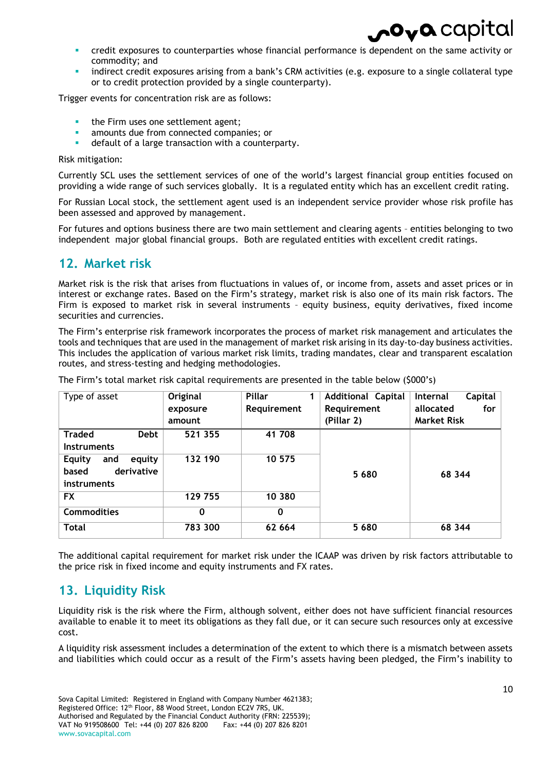- credit exposures to counterparties whose financial performance is dependent on the same activity or commodity; and
- indirect credit exposures arising from a bank's CRM activities (e.g. exposure to a single collateral type or to credit protection provided by a single counterparty).

Trigger events for concentration risk are as follows:

- the Firm uses one settlement agent;
- amounts due from connected companies; or
- default of a large transaction with a counterparty.

Risk mitigation:

Currently SCL uses the settlement services of one of the world's largest financial group entities focused on providing a wide range of such services globally. It is a regulated entity which has an excellent credit rating.

For Russian Local stock, the settlement agent used is an independent service provider whose risk profile has been assessed and approved by management.

For futures and options business there are two main settlement and clearing agents – entities belonging to two independent major global financial groups. Both are regulated entities with excellent credit ratings.

### <span id="page-9-0"></span>**12. Market risk**

Market risk is the risk that arises from fluctuations in values of, or income from, assets and asset prices or in interest or exchange rates. Based on the Firm's strategy, market risk is also one of its main risk factors. The Firm is exposed to market risk in several instruments – equity business, equity derivatives, fixed income securities and currencies.

The Firm's enterprise risk framework incorporates the process of market risk management and articulates the tools and techniques that are used in the management of market risk arising in its day-to-day business activities. This includes the application of various market risk limits, trading mandates, clear and transparent escalation routes, and stress-testing and hedging methodologies.

| Type of asset                  | Original | Pillar      | <b>Additional Capital</b> | Capital<br><b>Internal</b> |
|--------------------------------|----------|-------------|---------------------------|----------------------------|
|                                | exposure | Requirement | Requirement               | allocated<br>for $ $       |
|                                | amount   |             | (Pillar 2)                | <b>Market Risk</b>         |
| <b>Traded</b><br><b>Debt</b>   | 521 355  | 41 708      |                           |                            |
| <b>Instruments</b>             |          |             |                           |                            |
| equity<br><b>Equity</b><br>and | 132 190  | 10 575      |                           |                            |
| derivative<br>based            |          |             | 5680                      | 68 344                     |
| instruments                    |          |             |                           |                            |
| FX                             | 129 755  | 10 380      |                           |                            |
| <b>Commodities</b>             | 0        | 0           |                           |                            |
| <b>Total</b>                   | 783 300  | 62 664      | 5680                      | 68 344                     |

The Firm's total market risk capital requirements are presented in the table below (\$000's)

The additional capital requirement for market risk under the ICAAP was driven by risk factors attributable to the price risk in fixed income and equity instruments and FX rates.

### <span id="page-9-1"></span>**13. Liquidity Risk**

Liquidity risk is the risk where the Firm, although solvent, either does not have sufficient financial resources available to enable it to meet its obligations as they fall due, or it can secure such resources only at excessive cost.

A liquidity risk assessment includes a determination of the extent to which there is a mismatch between assets and liabilities which could occur as a result of the Firm's assets having been pledged, the Firm's inability to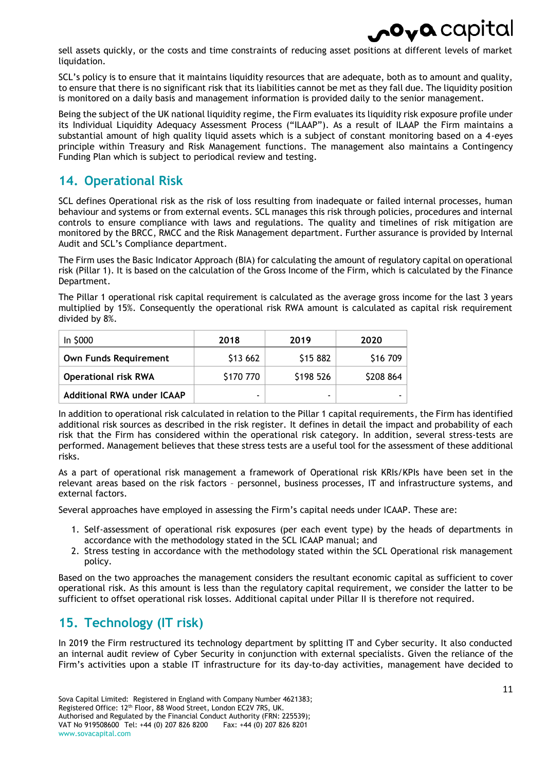## $\mathbf{\circ}_{\mathbf{v}}\mathbf{a}$  capital

sell assets quickly, or the costs and time constraints of reducing asset positions at different levels of market liquidation.

SCL's policy is to ensure that it maintains liquidity resources that are adequate, both as to amount and quality, to ensure that there is no significant risk that its liabilities cannot be met as they fall due. The liquidity position is monitored on a daily basis and management information is provided daily to the senior management.

Being the subject of the UK national liquidity regime, the Firm evaluates its liquidity risk exposure profile under its Individual Liquidity Adequacy Assessment Process ("ILAAP"). As a result of ILAAP the Firm maintains a substantial amount of high quality liquid assets which is a subject of constant monitoring based on a 4-eyes principle within Treasury and Risk Management functions. The management also maintains a Contingency Funding Plan which is subject to periodical review and testing.

### <span id="page-10-0"></span>**14. Operational Risk**

SCL defines Operational risk as the risk of loss resulting from inadequate or failed internal processes, human behaviour and systems or from external events. SCL manages this risk through policies, procedures and internal controls to ensure compliance with laws and regulations. The quality and timelines of risk mitigation are monitored by the BRCC, RMCC and the Risk Management department. Further assurance is provided by Internal Audit and SCL's Compliance department.

The Firm uses the Basic Indicator Approach (BIA) for calculating the amount of regulatory capital on operational risk (Pillar 1). It is based on the calculation of the Gross Income of the Firm, which is calculated by the Finance Department.

The Pillar 1 operational risk capital requirement is calculated as the average gross income for the last 3 years multiplied by 15%. Consequently the operational risk RWA amount is calculated as capital risk requirement divided by 8%.

| In \$000                          | 2018      | 2019      | 2020      |
|-----------------------------------|-----------|-----------|-----------|
| <b>Own Funds Requirement</b>      | \$13 662  | \$15 882  | \$16 709  |
| <b>Operational risk RWA</b>       | \$170 770 | \$198 526 | \$208 864 |
| <b>Additional RWA under ICAAP</b> | ۰         |           |           |

In addition to operational risk calculated in relation to the Pillar 1 capital requirements, the Firm has identified additional risk sources as described in the risk register. It defines in detail the impact and probability of each risk that the Firm has considered within the operational risk category. In addition, several stress-tests are performed. Management believes that these stress tests are a useful tool for the assessment of these additional risks.

As a part of operational risk management a framework of Operational risk KRIs/KPIs have been set in the relevant areas based on the risk factors – personnel, business processes, IT and infrastructure systems, and external factors.

Several approaches have employed in assessing the Firm's capital needs under ICAAP. These are:

- 1. Self-assessment of operational risk exposures (per each event type) by the heads of departments in accordance with the methodology stated in the SCL ICAAP manual; and
- 2. Stress testing in accordance with the methodology stated within the SCL Operational risk management policy.

Based on the two approaches the management considers the resultant economic capital as sufficient to cover operational risk. As this amount is less than the regulatory capital requirement, we consider the latter to be sufficient to offset operational risk losses. Additional capital under Pillar II is therefore not required.

### <span id="page-10-1"></span>**15. Technology (IT risk)**

In 2019 the Firm restructured its technology department by splitting IT and Cyber security. It also conducted an internal audit review of Cyber Security in conjunction with external specialists. Given the reliance of the Firm's activities upon a stable IT infrastructure for its day-to-day activities, management have decided to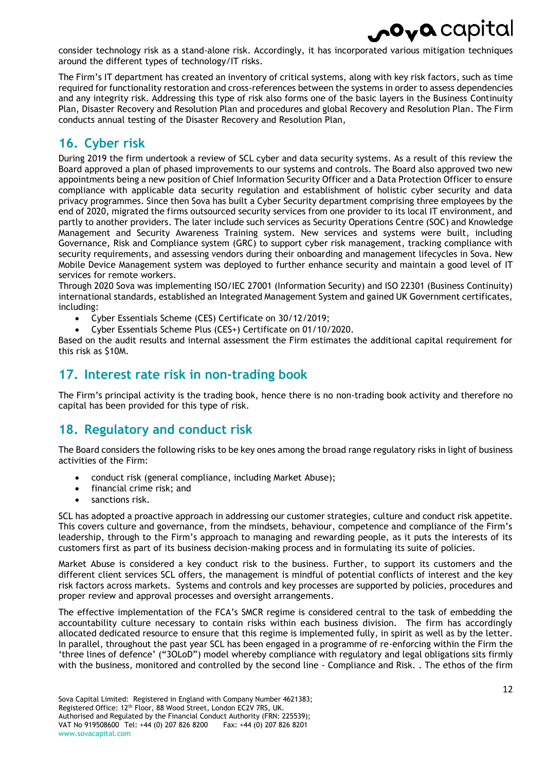

consider technology risk as a stand-alone risk. Accordingly, it has incorporated various mitigation techniques around the different types of technology/IT risks.

The Firm's IT department has created an inventory of critical systems, along with key risk factors, such as time required for functionality restoration and cross-references between the systems in order to assess dependencies and any integrity risk. Addressing this type of risk also forms one of the basic layers in the Business Continuity Plan, Disaster Recovery and Resolution Plan and procedures and global Recovery and Resolution Plan. The Firm conducts annual testing of the Disaster Recovery and Resolution Plan,

### <span id="page-11-0"></span>**16. Cyber risk**

During 2019 the firm undertook a review of SCL cyber and data security systems. As a result of this review the Board approved a plan of phased improvements to our systems and controls. The Board also approved two new appointments being a new position of Chief Information Security Officer and a Data Protection Officer to ensure compliance with applicable data security regulation and establishment of holistic cyber security and data privacy programmes. Since then Sova has built a Cyber Security department comprising three employees by the end of 2020, migrated the firms outsourced security services from one provider to its local IT environment, and partly to another providers. The later include such services as Security Operations Centre (SOC) and Knowledge Management and Security Awareness Training system. New services and systems were built, including Governance, Risk and Compliance system (GRC) to support cyber risk management, tracking compliance with security requirements, and assessing vendors during their onboarding and management lifecycles in Sova. New Mobile Device Management system was deployed to further enhance security and maintain a good level of IT services for remote workers.

Through 2020 Sova was implementing ISO/IEC 27001 (Information Security) and ISO 22301 (Business Continuity) international standards, established an Integrated Management System and gained UK Government certificates, including:

- Cyber Essentials Scheme (CES) Certificate on 30/12/2019;
- Cyber Essentials Scheme Plus (CES+) Certificate on 01/10/2020.

Based on the audit results and internal assessment the Firm estimates the additional capital requirement for this risk as \$10M.

### <span id="page-11-1"></span>**17. Interest rate risk in non-trading book**

The Firm's principal activity is the trading book, hence there is no non-trading book activity and therefore no capital has been provided for this type of risk.

### <span id="page-11-2"></span>**18. Regulatory and conduct risk**

The Board considers the following risks to be key ones among the broad range regulatory risks in light of business activities of the Firm:

- conduct risk (general compliance, including Market Abuse);
- financial crime risk: and
- sanctions risk.

SCL has adopted a proactive approach in addressing our customer strategies, culture and conduct risk appetite. This covers culture and governance, from the mindsets, behaviour, competence and compliance of the Firm's leadership, through to the Firm's approach to managing and rewarding people, as it puts the interests of its customers first as part of its business decision-making process and in formulating its suite of policies.

Market Abuse is considered a key conduct risk to the business. Further, to support its customers and the different client services SCL offers, the management is mindful of potential conflicts of interest and the key risk factors across markets. Systems and controls and key processes are supported by policies, procedures and proper review and approval processes and oversight arrangements.

The effective implementation of the FCA's SMCR regime is considered central to the task of embedding the accountability culture necessary to contain risks within each business division. The firm has accordingly allocated dedicated resource to ensure that this regime is implemented fully, in spirit as well as by the letter. In parallel, throughout the past year SCL has been engaged in a programme of re-enforcing within the Firm the 'three lines of defence' ("3OLoD") model whereby compliance with regulatory and legal obligations sits firmly with the business, monitored and controlled by the second line - Compliance and Risk. . The ethos of the firm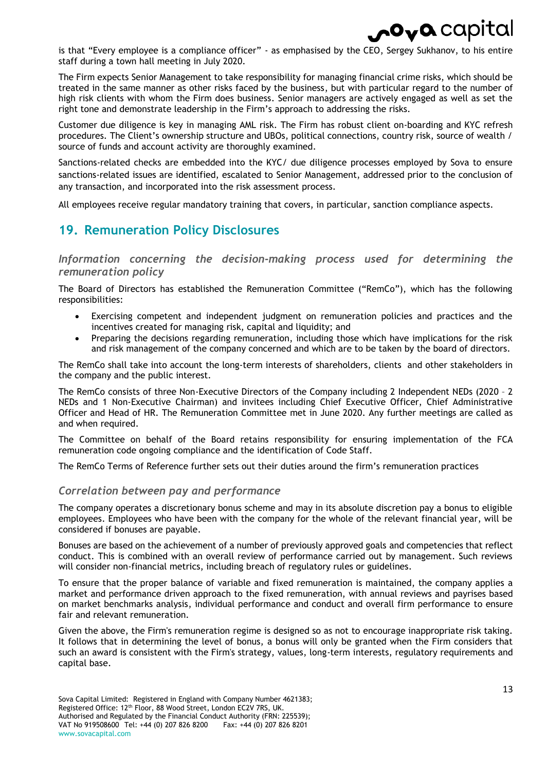

is that "Every employee is a compliance officer" - as emphasised by the CEO, Sergey Sukhanov, to his entire staff during a town hall meeting in July 2020.

The Firm expects Senior Management to take responsibility for managing financial crime risks, which should be treated in the same manner as other risks faced by the business, but with particular regard to the number of high risk clients with whom the Firm does business. Senior managers are actively engaged as well as set the right tone and demonstrate leadership in the Firm's approach to addressing the risks.

Customer due diligence is key in managing AML risk. The Firm has robust client on-boarding and KYC refresh procedures. The Client's ownership structure and UBOs, political connections, country risk, source of wealth / source of funds and account activity are thoroughly examined.

Sanctions-related checks are embedded into the KYC/ due diligence processes employed by Sova to ensure sanctions-related issues are identified, escalated to Senior Management, addressed prior to the conclusion of any transaction, and incorporated into the risk assessment process.

All employees receive regular mandatory training that covers, in particular, sanction compliance aspects.

### <span id="page-12-0"></span>**19. Remuneration Policy Disclosures**

*Information concerning the decision-making process used for determining the remuneration policy*

The Board of Directors has established the Remuneration Committee ("RemCo"), which has the following responsibilities:

- Exercising competent and independent judgment on remuneration policies and practices and the incentives created for managing risk, capital and liquidity; and
- Preparing the decisions regarding remuneration, including those which have implications for the risk and risk management of the company concerned and which are to be taken by the board of directors.

The RemCo shall take into account the long-term interests of shareholders, clients and other stakeholders in the company and the public interest.

The RemCo consists of three Non-Executive Directors of the Company including 2 Independent NEDs (2020 – 2 NEDs and 1 Non-Executive Chairman) and invitees including Chief Executive Officer, Chief Administrative Officer and Head of HR. The Remuneration Committee met in June 2020. Any further meetings are called as and when required.

The Committee on behalf of the Board retains responsibility for ensuring implementation of the FCA remuneration code ongoing compliance and the identification of Code Staff.

The RemCo Terms of Reference further sets out their duties around the firm's remuneration practices

#### *Correlation between pay and performance*

The company operates a discretionary bonus scheme and may in its absolute discretion pay a bonus to eligible employees. Employees who have been with the company for the whole of the relevant financial year, will be considered if bonuses are payable.

Bonuses are based on the achievement of a number of previously approved goals and competencies that reflect conduct. This is combined with an overall review of performance carried out by management. Such reviews will consider non-financial metrics, including breach of regulatory rules or guidelines.

To ensure that the proper balance of variable and fixed remuneration is maintained, the company applies a market and performance driven approach to the fixed remuneration, with annual reviews and payrises based on market benchmarks analysis, individual performance and conduct and overall firm performance to ensure fair and relevant remuneration.

Given the above, the Firm's remuneration regime is designed so as not to encourage inappropriate risk taking. It follows that in determining the level of bonus, a bonus will only be granted when the Firm considers that such an award is consistent with the Firm's strategy, values, long-term interests, regulatory requirements and capital base.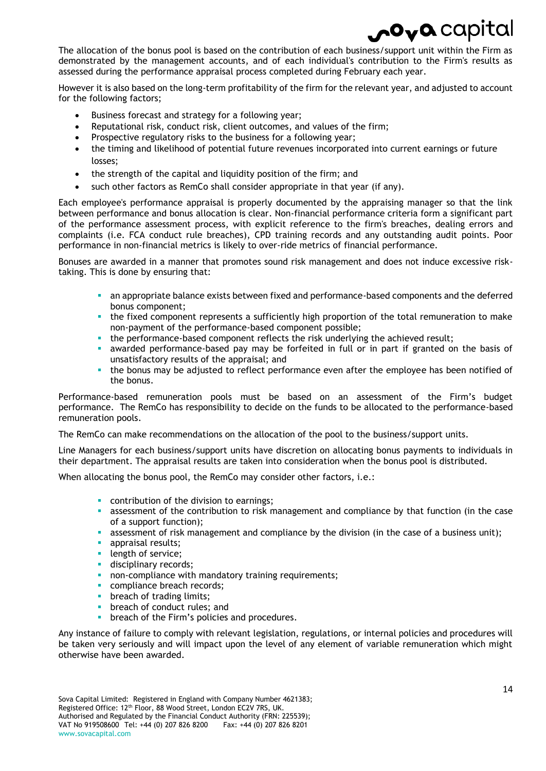# $\mathbf{.O_V}$ Q $\mathbf{.}$ Capi

The allocation of the bonus pool is based on the contribution of each business/support unit within the Firm as demonstrated by the management accounts, and of each individual's contribution to the Firm's results as assessed during the performance appraisal process completed during February each year.

However it is also based on the long-term profitability of the firm for the relevant year, and adjusted to account for the following factors;

- Business forecast and strategy for a following year;
- Reputational risk, conduct risk, client outcomes, and values of the firm;
- Prospective regulatory risks to the business for a following year;
- the timing and likelihood of potential future revenues incorporated into current earnings or future losses;
- the strength of the capital and liquidity position of the firm; and
- such other factors as RemCo shall consider appropriate in that year (if any).

Each employee's performance appraisal is properly documented by the appraising manager so that the link between performance and bonus allocation is clear. Non-financial performance criteria form a significant part of the performance assessment process, with explicit reference to the firm's breaches, dealing errors and complaints (i.e. FCA conduct rule breaches), CPD training records and any outstanding audit points. Poor performance in non-financial metrics is likely to over-ride metrics of financial performance.

Bonuses are awarded in a manner that promotes sound risk management and does not induce excessive risktaking. This is done by ensuring that:

- an appropriate balance exists between fixed and performance-based components and the deferred bonus component;
- the fixed component represents a sufficiently high proportion of the total remuneration to make non-payment of the performance-based component possible;
- the performance-based component reflects the risk underlying the achieved result;
- awarded performance-based pay may be forfeited in full or in part if granted on the basis of unsatisfactory results of the appraisal; and
- the bonus may be adjusted to reflect performance even after the employee has been notified of the bonus.

Performance-based remuneration pools must be based on an assessment of the Firm's budget performance. The RemCo has responsibility to decide on the funds to be allocated to the performance-based remuneration pools.

The RemCo can make recommendations on the allocation of the pool to the business/support units.

Line Managers for each business/support units have discretion on allocating bonus payments to individuals in their department. The appraisal results are taken into consideration when the bonus pool is distributed.

When allocating the bonus pool, the RemCo may consider other factors, i.e.:

- **CONDUCTION CONTINUITY** contribution of the division to earnings;
- **a** assessment of the contribution to risk management and compliance by that function (in the case of a support function);
- assessment of risk management and compliance by the division (in the case of a business unit);
- **appraisal results;**
- **length of service;**
- **disciplinary records;**
- non-compliance with mandatory training requirements;
- compliance breach records;
- **breach of trading limits;**
- **•** breach of conduct rules; and
- **•** breach of the Firm's policies and procedures.

Any instance of failure to comply with relevant legislation, regulations, or internal policies and procedures will be taken very seriously and will impact upon the level of any element of variable remuneration which might otherwise have been awarded.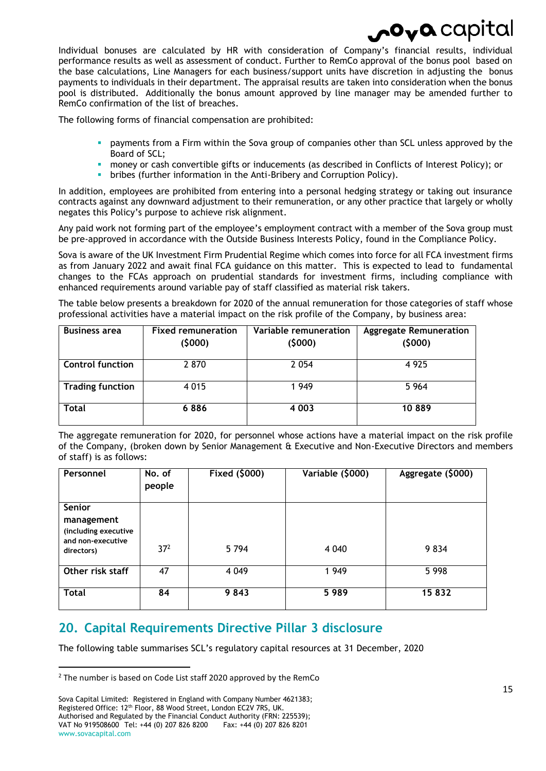Individual bonuses are calculated by HR with consideration of Company's financial results, individual performance results as well as assessment of conduct. Further to RemCo approval of the bonus pool based on the base calculations, Line Managers for each business/support units have discretion in adjusting the bonus payments to individuals in their department. The appraisal results are taken into consideration when the bonus pool is distributed. Additionally the bonus amount approved by line manager may be amended further to RemCo confirmation of the list of breaches.

The following forms of financial compensation are prohibited:

- payments from a Firm within the Sova group of companies other than SCL unless approved by the Board of SCL;
- money or cash convertible gifts or inducements (as described in Conflicts of Interest Policy); or
- bribes (further information in the Anti-Bribery and Corruption Policy).

In addition, employees are prohibited from entering into a personal hedging strategy or taking out insurance contracts against any downward adjustment to their remuneration, or any other practice that largely or wholly negates this Policy's purpose to achieve risk alignment.

Any paid work not forming part of the employee's employment contract with a member of the Sova group must be pre-approved in accordance with the Outside Business Interests Policy, found in the Compliance Policy.

Sova is aware of the UK Investment Firm Prudential Regime which comes into force for all FCA investment firms as from January 2022 and await final FCA guidance on this matter. This is expected to lead to fundamental changes to the FCAs approach on prudential standards for investment firms, including compliance with enhanced requirements around variable pay of staff classified as material risk takers.

The table below presents a breakdown for 2020 of the annual remuneration for those categories of staff whose professional activities have a material impact on the risk profile of the Company, by business area:

| <b>Business area</b>    | <b>Fixed remuneration</b> | Variable remuneration | <b>Aggregate Remuneration</b> |  |  |
|-------------------------|---------------------------|-----------------------|-------------------------------|--|--|
|                         | (5000)                    | (5000)                | (5000)                        |  |  |
| <b>Control function</b> | 2 870                     | 2054                  | 4925                          |  |  |
| <b>Trading function</b> | 4 0 1 5                   | 1949                  | 5 9 6 4                       |  |  |
| <b>Total</b>            | 6886                      | 4 0 0 3               | 10889                         |  |  |

The aggregate remuneration for 2020, for personnel whose actions have a material impact on the risk profile of the Company, (broken down by Senior Management & Executive and Non-Executive Directors and members of staff) is as follows:

| Personnel                                                                       | No. of<br>people | Fixed (\$000) | Variable (\$000) | Aggregate (\$000) |
|---------------------------------------------------------------------------------|------------------|---------------|------------------|-------------------|
| Senior<br>management<br>(including executive<br>and non-executive<br>directors) | 37 <sup>2</sup>  | 5 7 9 4       | 4 0 4 0          | 9834              |
| Other risk staff                                                                | 47               | 4 0 4 9       | 1949             | 5 9 9 8           |
| <b>Total</b>                                                                    | 84               | 9843          | 5989             | 15832             |

### <span id="page-14-0"></span>**20. Capital Requirements Directive Pillar 3 disclosure**

The following table summarises SCL's regulatory capital resources at 31 December, 2020

 $\overline{a}$ 

Sova Capital Limited: Registered in England with Company Number 4621383; Registered Office: 12th Floor, 88 Wood Street, London EC2V 7RS, UK. Authorised and Regulated by the Financial Conduct Authority (FRN: 225539);<br>VAT No 919508600 Tel: +44 (0) 207 826 8200 Fax: +44 (0) 207 826 8201 VAT No 919508600 Tel: +44 (0) 207 826 8200 www.sovacapital.com

 $2$  The number is based on Code List staff 2020 approved by the RemCo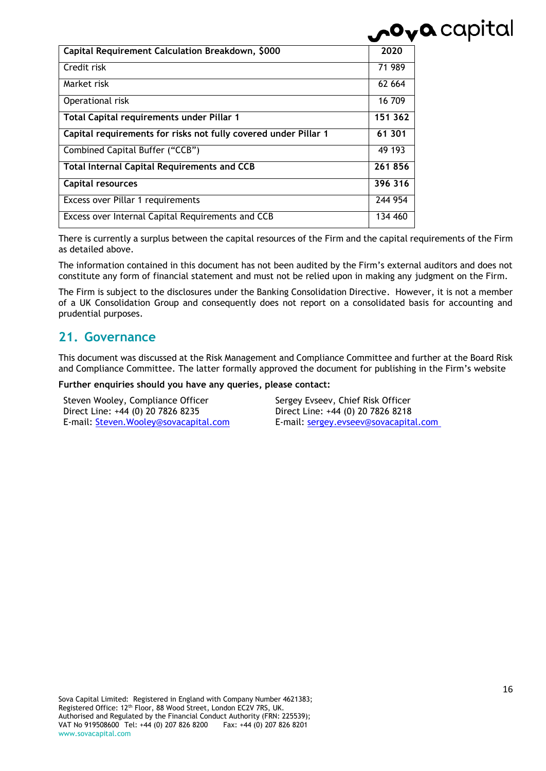| Capital Requirement Calculation Breakdown, \$000                | 2020    |
|-----------------------------------------------------------------|---------|
| Credit risk                                                     | 71 989  |
| Market risk                                                     | 62 664  |
| Operational risk                                                | 16 709  |
| Total Capital requirements under Pillar 1                       | 151 362 |
| Capital requirements for risks not fully covered under Pillar 1 | 61 301  |
| Combined Capital Buffer ("CCB")                                 | 49 193  |
| <b>Total Internal Capital Requirements and CCB</b>              | 261856  |
| Capital resources                                               | 396 316 |
| Excess over Pillar 1 requirements                               | 244 954 |
| Excess over Internal Capital Requirements and CCB               | 134 460 |

There is currently a surplus between the capital resources of the Firm and the capital requirements of the Firm as detailed above.

The information contained in this document has not been audited by the Firm's external auditors and does not constitute any form of financial statement and must not be relied upon in making any judgment on the Firm.

The Firm is subject to the disclosures under the Banking Consolidation Directive. However, it is not a member of a UK Consolidation Group and consequently does not report on a consolidated basis for accounting and prudential purposes.

### <span id="page-15-0"></span>**21. Governance**

This document was discussed at the Risk Management and Compliance Committee and further at the Board Risk and Compliance Committee. The latter formally approved the document for publishing in the Firm's website

**Further enquiries should you have any queries, please contact:**

| Steven Wooley, Compliance Officer      |
|----------------------------------------|
| Direct Line: +44 (0) 20 7826 8235      |
| E-mail: Steven. Wooley@sovacapital.com |

Sergey Evseev, Chief Risk Officer Direct Line: +44 (0) 20 7826 8218 E-mail: [sergey.evseev@sovacapital.com](mailto:sergey.evseev@sovacapital.com)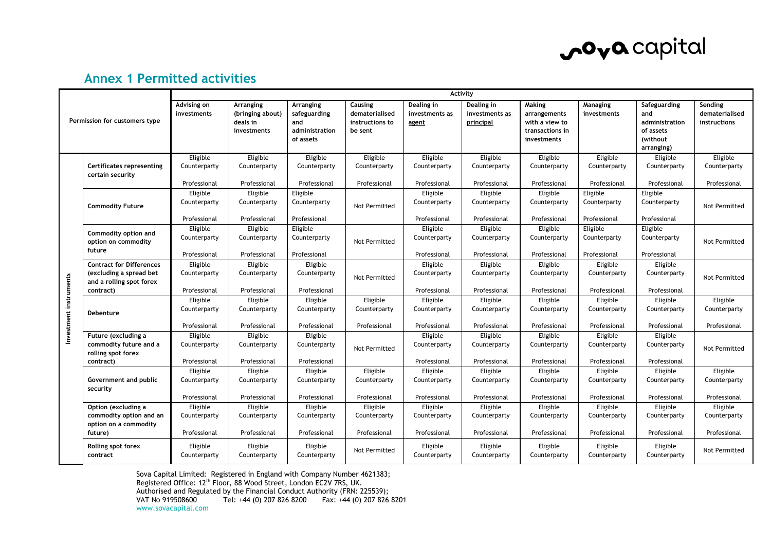

### **Annex 1 Permitted activities**

| Permission for customers type |                                                      | <b>Activity</b>            |                                                          |                                                                 |                                                         |                                              |                                           |                                                                            |                          |                                                                              |                                                  |
|-------------------------------|------------------------------------------------------|----------------------------|----------------------------------------------------------|-----------------------------------------------------------------|---------------------------------------------------------|----------------------------------------------|-------------------------------------------|----------------------------------------------------------------------------|--------------------------|------------------------------------------------------------------------------|--------------------------------------------------|
|                               |                                                      | Advising on<br>investments | Arranging<br>(bringing about)<br>deals in<br>investments | Arranging<br>safeguarding<br>and<br>administration<br>of assets | Causing<br>dematerialised<br>instructions to<br>be sent | Dealing in<br>investments as<br><u>agent</u> | Dealing in<br>investments as<br>principal | Making<br>arrangements<br>with a view to<br>transactions in<br>investments | Managing<br>investments  | Safeguarding<br>and<br>administration<br>of assets<br>(without<br>arranging) | Sending<br>dematerialised<br><b>instructions</b> |
|                               |                                                      | Eligible                   | Eligible                                                 | Eligible                                                        | Eligible                                                | Eligible                                     | Eligible                                  | Eligible                                                                   | Eligible                 | Eligible                                                                     | Eligible                                         |
|                               | <b>Certificates representing</b><br>certain security | Counterparty               | Counterparty                                             | Counterparty                                                    | Counterparty                                            | Counterparty                                 | Counterparty                              | Counterparty                                                               | Counterparty             | Counterparty                                                                 | Counterparty                                     |
|                               |                                                      | Professional               | Professional                                             | Professional                                                    | Professional                                            | Professional                                 | Professional                              | Professional                                                               | Professional             | Professional                                                                 | Professional                                     |
|                               |                                                      | Eligible                   | Eligible                                                 | Eligible                                                        |                                                         | Eligible                                     | Eligible                                  | Eligible                                                                   | Eligible                 | Eligible                                                                     |                                                  |
|                               | <b>Commodity Future</b>                              | Counterparty               | Counterparty                                             | Counterparty                                                    | Not Permitted                                           | Counterparty                                 | Counterparty                              | Counterparty                                                               | Counterparty             | Counterparty                                                                 | Not Permitted                                    |
|                               |                                                      | Professional               | Professional                                             | Professional                                                    |                                                         | Professional                                 | Professional                              | Professional                                                               | Professional             | Professional                                                                 |                                                  |
|                               | Commodity option and                                 | Eligible                   | Eligible                                                 | Eligible                                                        |                                                         | Eligible                                     | Eligible                                  | Eligible                                                                   | Eligible                 | Eligible                                                                     |                                                  |
|                               | option on commodity                                  | Counterparty               | Counterparty                                             | Counterparty                                                    | Not Permitted                                           | Counterparty                                 | Counterparty                              | Counterparty                                                               | Counterparty             | Counterparty                                                                 | Not Permitted                                    |
|                               | future                                               | Professional               | Professional                                             | Professional                                                    |                                                         | Professional                                 | Professional                              | Professional                                                               | Professional             | Professional                                                                 |                                                  |
|                               | <b>Contract for Differences</b>                      | Eligible                   | Eligible                                                 | Eligible                                                        |                                                         | Eligible                                     | Eligible                                  | Eligible                                                                   | Eligible                 | Eligible                                                                     |                                                  |
|                               | (excluding a spread bet<br>and a rolling spot forex  | Counterparty               | Counterparty                                             | Counterparty                                                    | Not Permitted                                           | Counterparty                                 | Counterparty                              | Counterparty                                                               | Counterparty             | Counterparty                                                                 | Not Permitted                                    |
|                               | contract)                                            | Professional               | Professional                                             | Professional                                                    |                                                         | Professional                                 | Professional                              | Professional                                                               | Professional             | Professional                                                                 |                                                  |
|                               |                                                      | Eligible                   | Eligible                                                 | Eligible                                                        | Eligible                                                | Eligible                                     | Eligible                                  | Eligible                                                                   | Eligible                 | Eligible                                                                     | Eligible                                         |
| Investment instruments        | Debenture                                            | Counterparty               | Counterparty                                             | Counterparty                                                    | Counterparty                                            | Counterparty                                 | Counterparty                              | Counterparty                                                               | Counterparty             | Counterparty                                                                 | Counterparty                                     |
|                               |                                                      | Professional               | Professional                                             | Professional                                                    | Professional                                            | Professional                                 | Professional                              | Professional                                                               | Professional             | Professional                                                                 | Professional                                     |
|                               | Future (excluding a                                  | Eligible                   | Eligible                                                 | Eligible                                                        |                                                         | Eligible                                     | Eligible                                  | Eligible                                                                   | Eligible                 | Eligible                                                                     |                                                  |
|                               | commodity future and a<br>rolling spot forex         | Counterparty               | Counterparty                                             | Counterparty                                                    | Not Permitted                                           | Counterparty                                 | Counterparty                              | Counterparty                                                               | Counterparty             | Counterparty                                                                 | Not Permitted                                    |
|                               | contract)                                            | Professional               | Professional                                             | Professional                                                    |                                                         | Professional                                 | Professional                              | Professional                                                               | Professional             | Professional                                                                 |                                                  |
|                               | Government and public<br>security                    | Eligible<br>Counterparty   | Eligible<br>Counterparty                                 | Eligible<br>Counterparty                                        | Eligible<br>Counterparty                                | Eligible<br>Counterparty                     | Eligible<br>Counterparty                  | Eligible<br>Counterparty                                                   | Eligible<br>Counterparty | Eligible<br>Counterparty                                                     | Eligible<br>Counterparty                         |
|                               |                                                      | Professional               | Professional                                             | Professional                                                    | Professional                                            | Professional                                 | Professional                              | Professional                                                               | Professional             | Professional                                                                 | Professional                                     |
|                               | Option (excluding a                                  | Eligible                   | Eligible                                                 | Eligible                                                        | Eligible                                                | Eligible                                     | Eligible                                  | Eligible                                                                   | Eligible                 | Eligible                                                                     | Eligible                                         |
|                               | commodity option and an<br>option on a commodity     | Counterparty               | Counterparty                                             | Counterparty                                                    | Counterparty                                            | Counterparty                                 | Counterparty                              | Counterparty                                                               | Counterparty             | Counterparty                                                                 | Counterparty                                     |
|                               | future)                                              | Professional               | Professional                                             | Professional                                                    | Professional                                            | Professional                                 | Professional                              | Professional                                                               | Professional             | Professional                                                                 | Professional                                     |
|                               | Rolling spot forex<br>contract                       | Eligible<br>Counterparty   | Eligible<br>Counterparty                                 | Eligible<br>Counterparty                                        | Not Permitted                                           | Eligible<br>Counterparty                     | Eligible<br>Counterparty                  | Eligible<br>Counterparty                                                   | Eligible<br>Counterparty | Eligible<br>Counterparty                                                     | Not Permitted                                    |

<span id="page-16-0"></span>Sova Capital Limited: Registered in England with Company Number 4621383; Registered Office: 12<sup>th</sup> Floor, 88 Wood Street, London EC2V 7RS, UK. Authorised and Regulated by the Financial Conduct Authority (FRN: 225539);<br>VAT No 919508600 Tel: +44 (0) 207 826 8200 Fax: +44 (0) 207 826 Tel: +44 (0) 207 826 8200 Fax: +44 (0) 207 826 8201 www.sovacapital.com